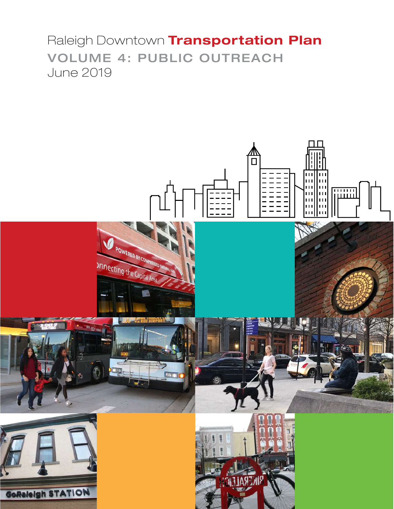# Raleigh Downtown Transportation Plan VOLUME 4: PUBLIC OUTREACH June 2019

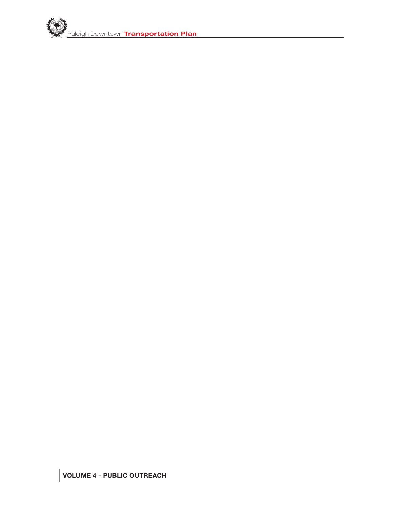

VOLUME 4 - PUBLIC OUTREACH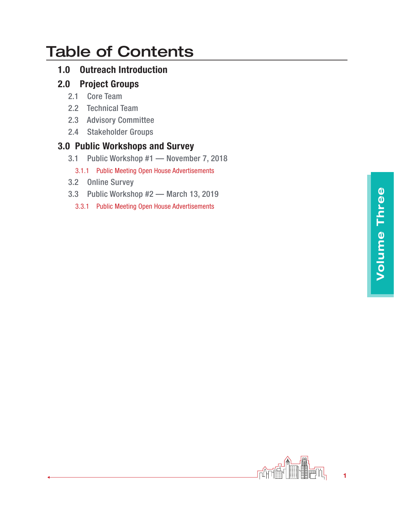# Table of Contents

### 1.0 Outreach Introduction

### 2.0 Project Groups

- 2.1 Core Team
- 2.2 Technical Team
- 2.3 Advisory Committee
- 2.4 Stakeholder Groups

### 3.0 Public Workshops and Survey

- 3.1 Public Workshop #1 November 7, 2018
	- 3.1.1 Public Meeting Open House Advertisements
- 3.2 Online Survey
- 3.3 Public Workshop #2 March 13, 2019
	- 3.3.1 Public Meeting Open House Advertisements

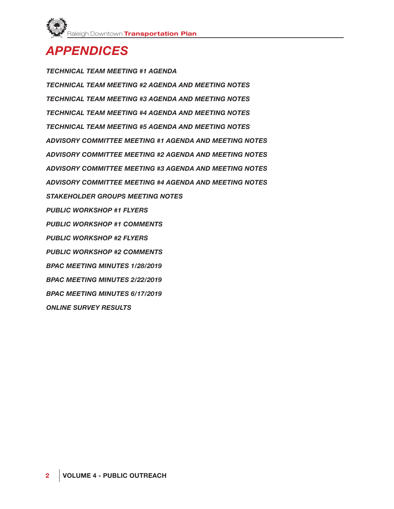

# *APPENDICES*

*TECHNICAL TEAM MEETING #1 AGENDA TECHNICAL TEAM MEETING #2 AGENDA AND MEETING NOTES TECHNICAL TEAM MEETING #3 AGENDA AND MEETING NOTES TECHNICAL TEAM MEETING #4 AGENDA AND MEETING NOTES TECHNICAL TEAM MEETING #5 AGENDA AND MEETING NOTES ADVISORY COMMITTEE MEETING #1 AGENDA AND MEETING NOTES ADVISORY COMMITTEE MEETING #2 AGENDA AND MEETING NOTES ADVISORY COMMITTEE MEETING #3 AGENDA AND MEETING NOTES ADVISORY COMMITTEE MEETING #4 AGENDA AND MEETING NOTES STAKEHOLDER GROUPS MEETING NOTES PUBLIC WORKSHOP #1 FLYERS PUBLIC WORKSHOP #1 COMMENTS PUBLIC WORKSHOP #2 FLYERS PUBLIC WORKSHOP #2 COMMENTS BPAC MEETING MINUTES 1/28/2019 BPAC MEETING MINUTES 2/22/2019 BPAC MEETING MINUTES 6/17/2019 ONLINE SURVEY RESULTS*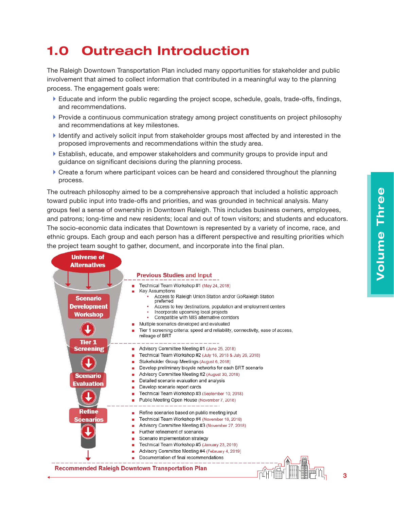# 1.0 Outreach Introduction

The Raleigh Downtown Transportation Plan included many opportunities for stakeholder and public involvement that aimed to collect information that contributed in a meaningful way to the planning process. The engagement goals were:

- ` Educate and inform the public regarding the project scope, schedule, goals, trade-offs, findings, and recommendations.
- $\blacktriangleright$  Provide a continuous communication strategy among project constituents on project philosophy and recommendations at key milestones.
- $\blacktriangleright$  Identify and actively solicit input from stakeholder groups most affected by and interested in the proposed improvements and recommendations within the study area.
- Establish, educate, and empower stakeholders and community groups to provide input and guidance on significant decisions during the planning process.
- ` Create a forum where participant voices can be heard and considered throughout the planning process.

The outreach philosophy aimed to be a comprehensive approach that included a holistic approach toward public input into trade-offs and priorities, and was grounded in technical analysis. Many groups feel a sense of ownership in Downtown Raleigh. This includes business owners, employees, and patrons; long-time and new residents; local and out of town visitors; and students and educators. The socio-economic data indicates that Downtown is represented by a variety of income, race, and ethnic groups. Each group and each person has a different perspective and resulting priorities which the project team sought to gather, document, and incorporate into the final plan.

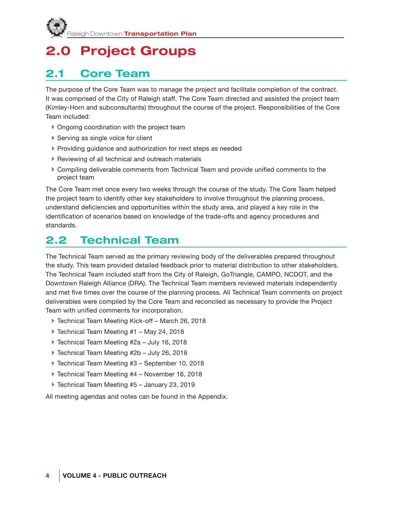# 2.0 Project Groups

## 2.1 Core Team

The purpose of the Core Team was to manage the project and facilitate completion of the contract. It was comprised of the City of Raleigh staff. The Core Team directed and assisted the project team (Kimley-Horn and subconsultants) throughout the course of the project. Responsibilities of the Core Team included:

- $\triangleright$  Ongoing coordination with the project team
- $\triangleright$  Serving as single voice for client
- **Providing guidance and authorization for next steps as needed**
- $\blacktriangleright$  Reviewing of all technical and outreach materials
- ` Compiling deliverable comments from Technical Team and provide unified comments to the project team

The Core Team met once every two weeks through the course of the study. The Core Team helped the project team to identify other key stakeholders to involve throughout the planning process, understand deficiencies and opportunities within the study area, and played a key role in the identification of scenarios based on knowledge of the trade-offs and agency procedures and standards.

## 2.2 Technical Team

The Technical Team served as the primary reviewing body of the deliverables prepared throughout the study. This team provided detailed feedback prior to material distribution to other stakeholders. The Technical Team included staff from the City of Raleigh, GoTriangle, CAMPO, NCDOT, and the Downtown Raleigh Alliance (DRA). The Technical Team members reviewed materials independently and met five times over the course of the planning process. All Technical Team comments on project deliverables were compiled by the Core Team and reconciled as necessary to provide the Project Team with unified comments for incorporation.

- ` Technical Team Meeting Kick-off March 26, 2018
- ` Technical Team Meeting #1 May 24, 2018
- ▶ Technical Team Meeting #2a July 16, 2018
- ` Technical Team Meeting #2b July 26, 2018
- ` Technical Team Meeting #3 September 10, 2018
- ` Technical Team Meeting #4 November 16, 2018
- ` Technical Team Meeting #5 January 23, 2019

All meeting agendas and notes can be found in the Appendix.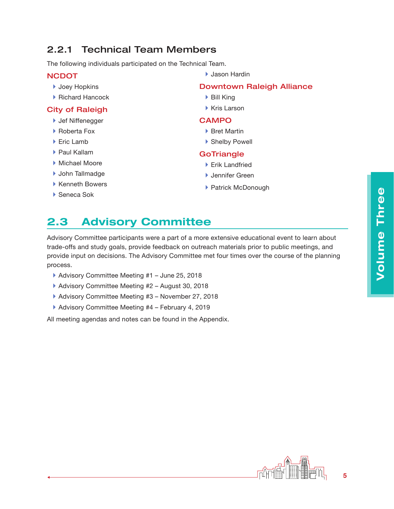### 2.2.1 Technical Team Members

The following individuals participated on the Technical Team.

#### **NCDOT**

- ▶ Joey Hopkins
- ▶ Richard Hancock

### City of Raleigh

- ▶ Jef Niffenegger
- ▶ Roberta Fox
- ▶ Eric Lamb
- ` Paul Kallam
- ` Michael Moore
- **John Tallmadge**
- ▶ Kenneth Bowers
- ▶ Seneca Sok

**Jason Hardin** 

### Downtown Raleigh Alliance

- ` Bill King
- ▶ Kris Larson

### **CAMPO**

- ▶ Bret Martin
- ▶ Shelby Powell

### **GoTriangle**

- ▶ Erik Landfried
- **b** Jennifer Green
- ` Patrick McDonough

## 2.3 Advisory Committee

Advisory Committee participants were a part of a more extensive educational event to learn about trade-offs and study goals, provide feedback on outreach materials prior to public meetings, and provide input on decisions. The Advisory Committee met four times over the course of the planning process.

- ` Advisory Committee Meeting #1 June 25, 2018
- ` Advisory Committee Meeting #2 August 30, 2018
- ▶ Advisory Committee Meeting #3 November 27, 2018
- ` Advisory Committee Meeting #4 February 4, 2019

All meeting agendas and notes can be found in the Appendix.

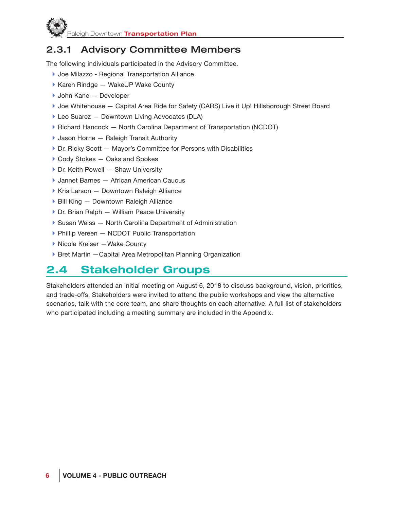Raleigh Downtown **Transportation Plan** 

### 2.3.1 Advisory Committee Members

The following individuals participated in the Advisory Committee.

- ` Joe Milazzo Regional Transportation Alliance
- ▶ Karen Rindge WakeUP Wake County
- **John Kane Developer**
- ▶ Joe Whitehouse Capital Area Ride for Safety (CARS) Live it Up! Hillsborough Street Board
- ▶ Leo Suarez Downtown Living Advocates (DLA)
- ` Richard Hancock North Carolina Department of Transportation (NCDOT)
- **Jason Horne Raleigh Transit Authority**
- ▶ Dr. Ricky Scott Mayor's Committee for Persons with Disabilities
- ▶ Cody Stokes Oaks and Spokes
- ▶ Dr. Keith Powell Shaw University
- ▶ Jannet Barnes African American Caucus
- ▶ Kris Larson Downtown Raleigh Alliance
- ▶ Bill King Downtown Raleigh Alliance
- ▶ Dr. Brian Ralph William Peace University
- ▶ Susan Weiss North Carolina Department of Administration
- ` Phillip Vereen NCDOT Public Transportation
- ▶ Nicole Kreiser Wake County
- ▶ Bret Martin Capital Area Metropolitan Planning Organization

### 2.4 Stakeholder Groups

Stakeholders attended an initial meeting on August 6, 2018 to discuss background, vision, priorities, and trade-offs. Stakeholders were invited to attend the public workshops and view the alternative scenarios, talk with the core team, and share thoughts on each alternative. A full list of stakeholders who participated including a meeting summary are included in the Appendix.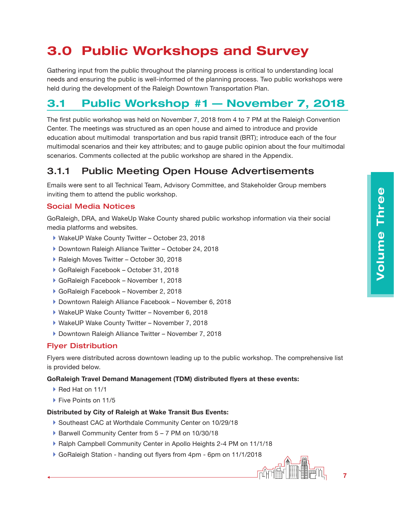# 3.0 Public Workshops and Survey

Gathering input from the public throughout the planning process is critical to understanding local needs and ensuring the public is well-informed of the planning process. Two public workshops were held during the development of the Raleigh Downtown Transportation Plan.

## 3.1 Public Workshop #1 — November 7, 2018

The first public workshop was held on November 7, 2018 from 4 to 7 PM at the Raleigh Convention Center. The meetings was structured as an open house and aimed to introduce and provide education about multimodal transportation and bus rapid transit (BRT); introduce each of the four multimodal scenarios and their key attributes; and to gauge public opinion about the four multimodal scenarios. Comments collected at the public workshop are shared in the Appendix.

### 3.1.1 Public Meeting Open House Advertisements

Emails were sent to all Technical Team, Advisory Committee, and Stakeholder Group members inviting them to attend the public workshop.

### Social Media Notices

GoRaleigh, DRA, and WakeUp Wake County shared public workshop information via their social media platforms and websites.

- ▶ WakeUP Wake County Twitter October 23, 2018
- ▶ Downtown Raleigh Alliance Twitter October 24, 2018
- ▶ Raleigh Moves Twitter October 30, 2018
- ` GoRaleigh Facebook October 31, 2018
- ` GoRaleigh Facebook November 1, 2018
- ▶ GoRaleigh Facebook November 2, 2018
- ` Downtown Raleigh Alliance Facebook November 6, 2018
- ▶ WakeUP Wake County Twitter November 6, 2018
- ▶ WakeUP Wake County Twitter November 7, 2018
- ▶ Downtown Raleigh Alliance Twitter November 7, 2018

### Flyer Distribution

Flyers were distributed across downtown leading up to the public workshop. The comprehensive list is provided below.

#### GoRaleigh Travel Demand Management (TDM) distributed flyers at these events:

- ▶ Red Hat on 11/1
- ▶ Five Points on 11/5

#### Distributed by City of Raleigh at Wake Transit Bus Events:

- ` Southeast CAC at Worthdale Community Center on 10/29/18
- ▶ Barwell Community Center from 5 7 PM on 10/30/18
- ▶ Ralph Campbell Community Center in Apollo Heights 2-4 PM on 11/1/18
- ` GoRaleigh Station handing out flyers from 4pm 6pm on 11/1/2018

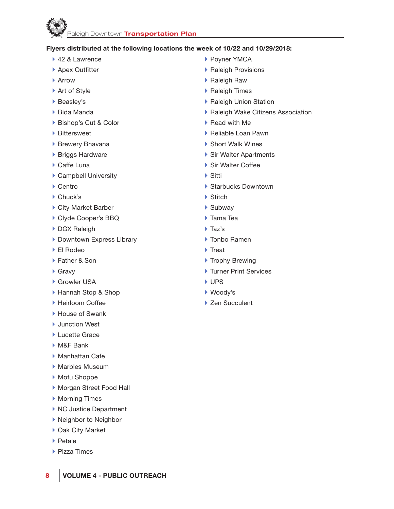#### Flyers distributed at the following locations the week of 10/22 and 10/29/2018:

- ▶ 42 & Lawrence
- ▶ Apex Outfitter
- ▶ Arrow
- ▶ Art of Style
- ▶ Beasley's
- ` Bida Manda
- ▶ Bishop's Cut & Color
- ` Bittersweet
- ` Brewery Bhavana
- ▶ Briggs Hardware
- ▶ Caffe Luna
- ` Campbell University
- ▶ Centro
- ▶ Chuck's
- ` City Market Barber
- ` Clyde Cooper's BBQ
- ▶ DGX Raleigh
- ▶ Downtown Express Library
- ▶ El Rodeo
- ▶ Father & Son
- ` Gravy
- ▶ Growler USA
- ` Hannah Stop & Shop
- ` Heirloom Coffee
- ▶ House of Swank
- ▶ Junction West
- ▶ Lucette Grace
- ▶ M&F Bank
- ▶ Manhattan Cafe
- ` Marbles Museum
- ` Mofu Shoppe
- ` Morgan Street Food Hall
- ▶ Morning Times
- ▶ NC Justice Department
- ` Neighbor to Neighbor
- ▶ Oak City Market
- ▶ Petale
- ▶ Pizza Times
- ▶ Poyner YMCA
- ` Raleigh Provisions
- ▶ Raleigh Raw
- ▶ Raleigh Times
- **A** Raleigh Union Station
- ` Raleigh Wake Citizens Association
- ▶ Read with Me
- ` Reliable Loan Pawn
- ▶ Short Walk Wines
- ▶ Sir Walter Apartments
- ▶ Sir Walter Coffee
- $\triangleright$  Sitti
- ▶ Starbucks Downtown
- $\blacktriangleright$  Stitch
- $\blacktriangleright$  Subway
- ` Tama Tea
- ▶ Taz's
- ▶ Tonbo Ramen
- ▶ Treat
- ▶ Trophy Brewing
- ▶ Turner Print Services
- ▶ UPS
- ▶ Woody's
- ▶ Zen Succulent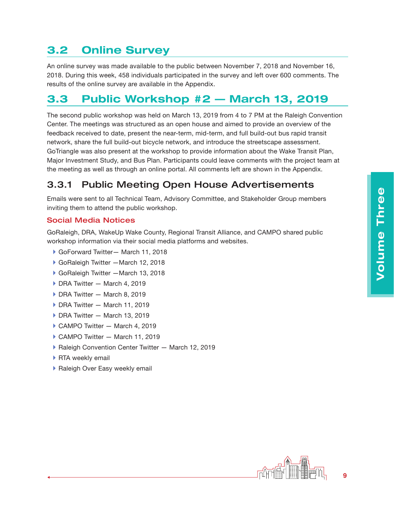## 3.2 Online Survey

An online survey was made available to the public between November 7, 2018 and November 16, 2018. During this week, 458 individuals participated in the survey and left over 600 comments. The results of the online survey are available in the Appendix.

## 3.3 Public Workshop #2 — March 13, 2019

The second public workshop was held on March 13, 2019 from 4 to 7 PM at the Raleigh Convention Center. The meetings was structured as an open house and aimed to provide an overview of the feedback received to date, present the near-term, mid-term, and full build-out bus rapid transit network, share the full build-out bicycle network, and introduce the streetscape assessment. GoTriangle was also present at the workshop to provide information about the Wake Transit Plan, Major Investment Study, and Bus Plan. Participants could leave comments with the project team at the meeting as well as through an online portal. All comments left are shown in the Appendix.

### 3.3.1 Public Meeting Open House Advertisements

Emails were sent to all Technical Team, Advisory Committee, and Stakeholder Group members inviting them to attend the public workshop.

### Social Media Notices

GoRaleigh, DRA, WakeUp Wake County, Regional Transit Alliance, and CAMPO shared public workshop information via their social media platforms and websites.

- ▶ GoForward Twitter- March 11, 2018
- ▶ GoRaleigh Twitter —March 12, 2018
- ▶ GoRaleigh Twitter —March 13, 2018
- ▶ DRA Twitter March 4, 2019
- ▶ DRA Twitter March 8, 2019
- ▶ DRA Twitter March 11, 2019
- ▶ DRA Twitter March 13, 2019
- ▶ CAMPO Twitter March 4, 2019
- ▶ CAMPO Twitter March 11, 2019
- ▶ Raleigh Convention Center Twitter March 12, 2019
- **RTA** weekly email
- ▶ Raleigh Over Easy weekly email